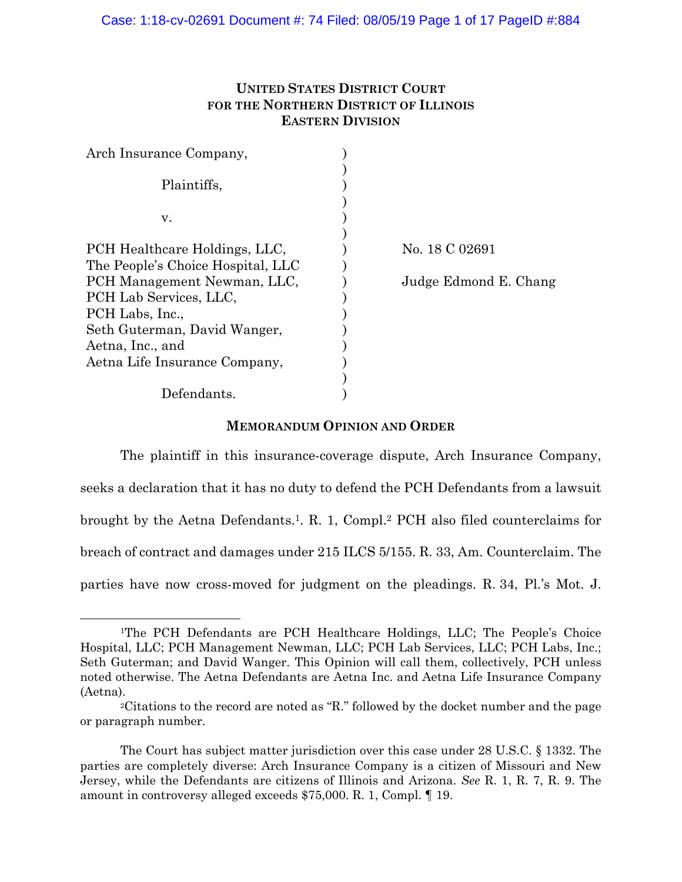# **UNITED STATES DISTRICT COURT FOR THE NORTHERN DISTRICT OF ILLINOIS EASTERN DIVISION**

| Arch Insurance Company,           |                       |
|-----------------------------------|-----------------------|
| Plaintiffs,                       |                       |
| V.                                |                       |
| PCH Healthcare Holdings, LLC,     | No. 18 C 02691        |
| The People's Choice Hospital, LLC |                       |
| PCH Management Newman, LLC,       | Judge Edmond E. Chang |
| PCH Lab Services, LLC,            |                       |
| PCH Labs, Inc.,                   |                       |
| Seth Guterman, David Wanger,      |                       |
| Aetna, Inc., and                  |                       |
| Aetna Life Insurance Company,     |                       |
|                                   |                       |
| Defendants.                       |                       |

# **MEMORANDUM OPINION AND ORDER**

 The plaintiff in this insurance-coverage dispute, Arch Insurance Company, seeks a declaration that it has no duty to defend the PCH Defendants from a lawsuit brought by the Aetna Defendants.1. R. 1, Compl.2 PCH also filed counterclaims for breach of contract and damages under 215 ILCS 5/155. R. 33, Am. Counterclaim. The parties have now cross-moved for judgment on the pleadings. R. 34, Pl.'s Mot. J.

 <sup>1</sup>The PCH Defendants are PCH Healthcare Holdings, LLC; The People's Choice Hospital, LLC; PCH Management Newman, LLC; PCH Lab Services, LLC; PCH Labs, Inc.; Seth Guterman; and David Wanger. This Opinion will call them, collectively, PCH unless noted otherwise. The Aetna Defendants are Aetna Inc. and Aetna Life Insurance Company (Aetna). 2Citations to the record are noted as "R." followed by the docket number and the page

or paragraph number.

The Court has subject matter jurisdiction over this case under 28 U.S.C. § 1332. The parties are completely diverse: Arch Insurance Company is a citizen of Missouri and New Jersey, while the Defendants are citizens of Illinois and Arizona. *See* R. 1, R. 7, R. 9. The amount in controversy alleged exceeds \$75,000. R. 1, Compl. ¶ 19.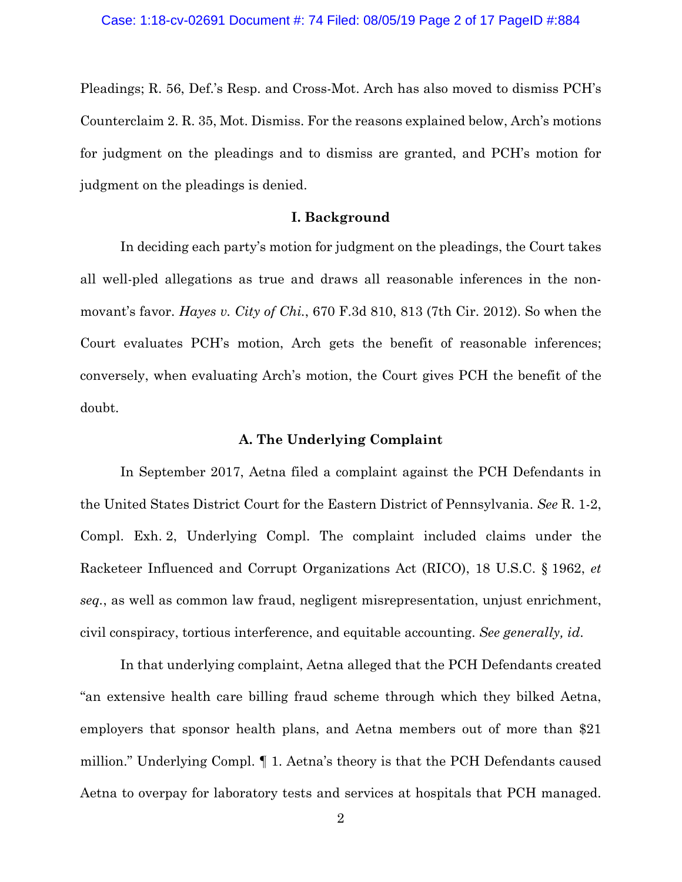Pleadings; R. 56, Def.'s Resp. and Cross-Mot. Arch has also moved to dismiss PCH's Counterclaim 2. R. 35, Mot. Dismiss. For the reasons explained below, Arch's motions for judgment on the pleadings and to dismiss are granted, and PCH's motion for judgment on the pleadings is denied.

# **I. Background**

In deciding each party's motion for judgment on the pleadings, the Court takes all well-pled allegations as true and draws all reasonable inferences in the nonmovant's favor. *Hayes v. City of Chi.*, 670 F.3d 810, 813 (7th Cir. 2012). So when the Court evaluates PCH's motion, Arch gets the benefit of reasonable inferences; conversely, when evaluating Arch's motion, the Court gives PCH the benefit of the doubt.

### **A. The Underlying Complaint**

In September 2017, Aetna filed a complaint against the PCH Defendants in the United States District Court for the Eastern District of Pennsylvania. *See* R. 1-2, Compl. Exh. 2, Underlying Compl. The complaint included claims under the Racketeer Influenced and Corrupt Organizations Act (RICO), 18 U.S.C. § 1962, *et seq.*, as well as common law fraud, negligent misrepresentation, unjust enrichment, civil conspiracy, tortious interference, and equitable accounting. *See generally, id*.

 In that underlying complaint, Aetna alleged that the PCH Defendants created "an extensive health care billing fraud scheme through which they bilked Aetna, employers that sponsor health plans, and Aetna members out of more than \$21 million." Underlying Compl. ¶ 1. Aetna's theory is that the PCH Defendants caused Aetna to overpay for laboratory tests and services at hospitals that PCH managed.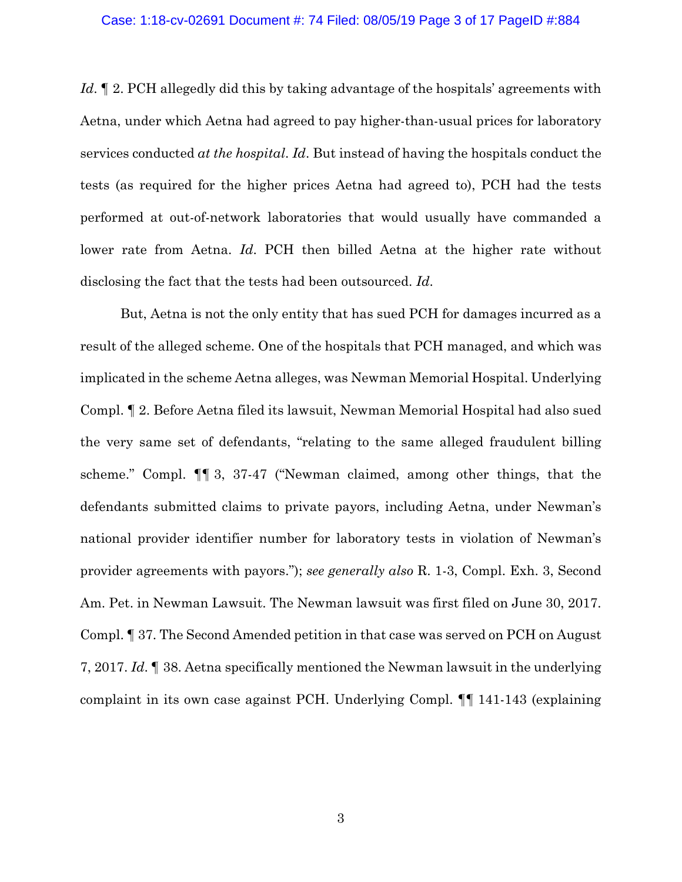#### Case: 1:18-cv-02691 Document #: 74 Filed: 08/05/19 Page 3 of 17 PageID #:884

*Id*. If 2. PCH allegedly did this by taking advantage of the hospitals' agreements with Aetna, under which Aetna had agreed to pay higher-than-usual prices for laboratory services conducted *at the hospital*. *Id*. But instead of having the hospitals conduct the tests (as required for the higher prices Aetna had agreed to), PCH had the tests performed at out-of-network laboratories that would usually have commanded a lower rate from Aetna. *Id*. PCH then billed Aetna at the higher rate without disclosing the fact that the tests had been outsourced. *Id*.

But, Aetna is not the only entity that has sued PCH for damages incurred as a result of the alleged scheme. One of the hospitals that PCH managed, and which was implicated in the scheme Aetna alleges, was Newman Memorial Hospital. Underlying Compl. ¶ 2. Before Aetna filed its lawsuit, Newman Memorial Hospital had also sued the very same set of defendants, "relating to the same alleged fraudulent billing scheme." Compl. ¶¶ 3, 37-47 ("Newman claimed, among other things, that the defendants submitted claims to private payors, including Aetna, under Newman's national provider identifier number for laboratory tests in violation of Newman's provider agreements with payors."); *see generally also* R. 1-3, Compl. Exh. 3, Second Am. Pet. in Newman Lawsuit. The Newman lawsuit was first filed on June 30, 2017. Compl. ¶ 37. The Second Amended petition in that case was served on PCH on August 7, 2017. *Id*. ¶ 38. Aetna specifically mentioned the Newman lawsuit in the underlying complaint in its own case against PCH. Underlying Compl. ¶¶ 141-143 (explaining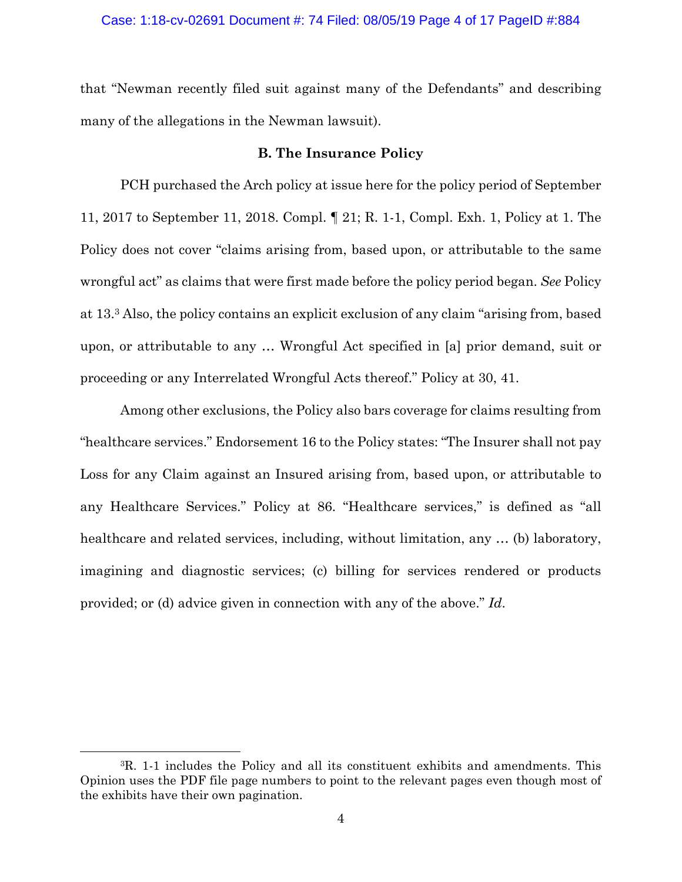### Case: 1:18-cv-02691 Document #: 74 Filed: 08/05/19 Page 4 of 17 PageID #:884

that "Newman recently filed suit against many of the Defendants" and describing many of the allegations in the Newman lawsuit).

# **B. The Insurance Policy**

PCH purchased the Arch policy at issue here for the policy period of September 11, 2017 to September 11, 2018. Compl. ¶ 21; R. 1-1, Compl. Exh. 1, Policy at 1. The Policy does not cover "claims arising from, based upon, or attributable to the same wrongful act" as claims that were first made before the policy period began. *See* Policy at 13.3 Also, the policy contains an explicit exclusion of any claim "arising from, based upon, or attributable to any … Wrongful Act specified in [a] prior demand, suit or proceeding or any Interrelated Wrongful Acts thereof." Policy at 30, 41.

 Among other exclusions, the Policy also bars coverage for claims resulting from "healthcare services." Endorsement 16 to the Policy states: "The Insurer shall not pay Loss for any Claim against an Insured arising from, based upon, or attributable to any Healthcare Services." Policy at 86. "Healthcare services," is defined as "all healthcare and related services, including, without limitation, any ... (b) laboratory, imagining and diagnostic services; (c) billing for services rendered or products provided; or (d) advice given in connection with any of the above." *Id*.

 <sup>3</sup>R. 1-1 includes the Policy and all its constituent exhibits and amendments. This Opinion uses the PDF file page numbers to point to the relevant pages even though most of the exhibits have their own pagination.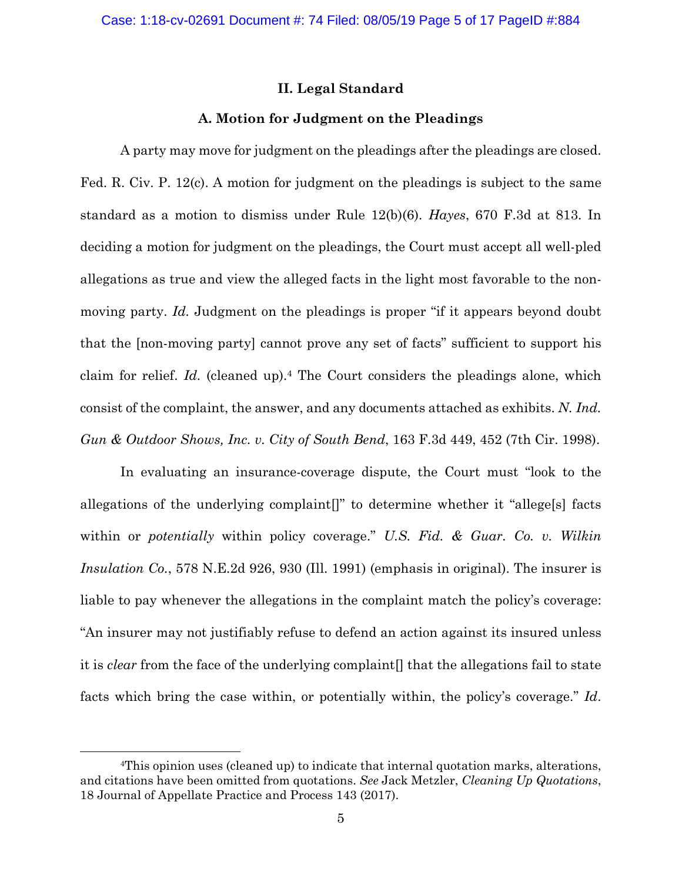# **II. Legal Standard**

## **A. Motion for Judgment on the Pleadings**

A party may move for judgment on the pleadings after the pleadings are closed. Fed. R. Civ. P. 12(c). A motion for judgment on the pleadings is subject to the same standard as a motion to dismiss under Rule 12(b)(6). *Hayes*, 670 F.3d at 813. In deciding a motion for judgment on the pleadings, the Court must accept all well-pled allegations as true and view the alleged facts in the light most favorable to the nonmoving party. *Id.* Judgment on the pleadings is proper "if it appears beyond doubt that the [non-moving party] cannot prove any set of facts" sufficient to support his claim for relief. *Id.* (cleaned up).4 The Court considers the pleadings alone, which consist of the complaint, the answer, and any documents attached as exhibits. *N. Ind. Gun & Outdoor Shows, Inc. v. City of South Bend*, 163 F.3d 449, 452 (7th Cir. 1998).

In evaluating an insurance-coverage dispute, the Court must "look to the allegations of the underlying complaint[]" to determine whether it "allege[s] facts within or *potentially* within policy coverage." *U.S. Fid. & Guar. Co. v. Wilkin Insulation Co.*, 578 N.E.2d 926, 930 (Ill. 1991) (emphasis in original). The insurer is liable to pay whenever the allegations in the complaint match the policy's coverage: "An insurer may not justifiably refuse to defend an action against its insured unless it is *clear* from the face of the underlying complaint[] that the allegations fail to state facts which bring the case within, or potentially within, the policy's coverage." *Id*.

 <sup>4</sup>This opinion uses (cleaned up) to indicate that internal quotation marks, alterations, and citations have been omitted from quotations. *See* Jack Metzler, *Cleaning Up Quotations*, 18 Journal of Appellate Practice and Process 143 (2017).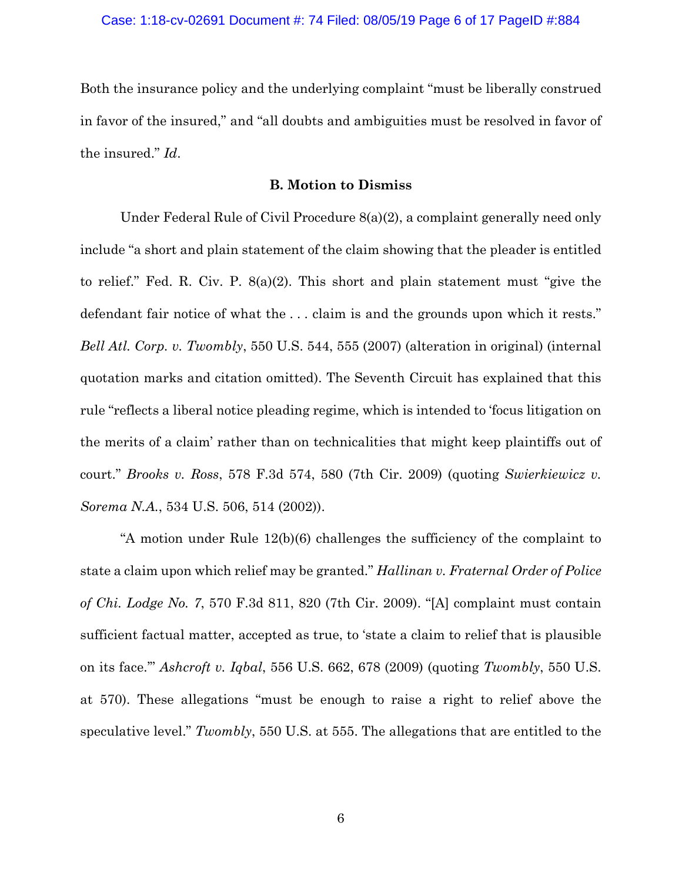Both the insurance policy and the underlying complaint "must be liberally construed in favor of the insured," and "all doubts and ambiguities must be resolved in favor of the insured." *Id*.

### **B. Motion to Dismiss**

Under Federal Rule of Civil Procedure 8(a)(2), a complaint generally need only include "a short and plain statement of the claim showing that the pleader is entitled to relief." Fed. R. Civ. P. 8(a)(2). This short and plain statement must "give the defendant fair notice of what the . . . claim is and the grounds upon which it rests." *Bell Atl. Corp. v. Twombly*, 550 U.S. 544, 555 (2007) (alteration in original) (internal quotation marks and citation omitted). The Seventh Circuit has explained that this rule "reflects a liberal notice pleading regime, which is intended to 'focus litigation on the merits of a claim' rather than on technicalities that might keep plaintiffs out of court." *Brooks v. Ross*, 578 F.3d 574, 580 (7th Cir. 2009) (quoting *Swierkiewicz v. Sorema N.A.*, 534 U.S. 506, 514 (2002)).

"A motion under Rule 12(b)(6) challenges the sufficiency of the complaint to state a claim upon which relief may be granted." *Hallinan v. Fraternal Order of Police of Chi. Lodge No. 7*, 570 F.3d 811, 820 (7th Cir. 2009). "[A] complaint must contain sufficient factual matter, accepted as true, to 'state a claim to relief that is plausible on its face.'" *Ashcroft v. Iqbal*, 556 U.S. 662, 678 (2009) (quoting *Twombly*, 550 U.S. at 570). These allegations "must be enough to raise a right to relief above the speculative level." *Twombly*, 550 U.S. at 555. The allegations that are entitled to the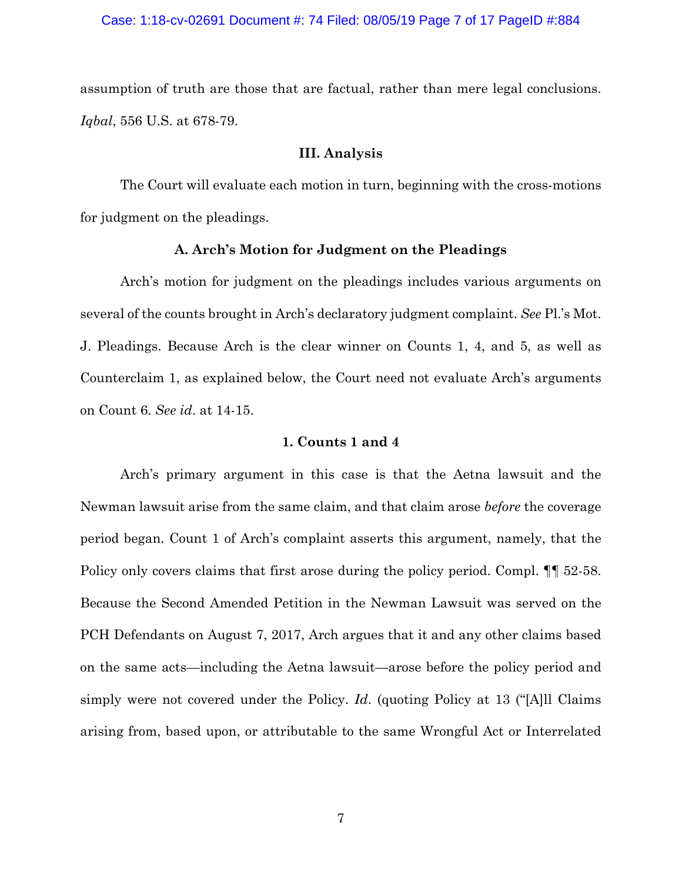assumption of truth are those that are factual, rather than mere legal conclusions. *Iqbal*, 556 U.S. at 678-79.

### **III. Analysis**

 The Court will evaluate each motion in turn, beginning with the cross-motions for judgment on the pleadings.

#### **A. Arch's Motion for Judgment on the Pleadings**

 Arch's motion for judgment on the pleadings includes various arguments on several of the counts brought in Arch's declaratory judgment complaint. *See* Pl.'s Mot. J. Pleadings. Because Arch is the clear winner on Counts 1, 4, and 5, as well as Counterclaim 1, as explained below, the Court need not evaluate Arch's arguments on Count 6. *See id*. at 14-15.

## **1. Counts 1 and 4**

Arch's primary argument in this case is that the Aetna lawsuit and the Newman lawsuit arise from the same claim, and that claim arose *before* the coverage period began. Count 1 of Arch's complaint asserts this argument, namely, that the Policy only covers claims that first arose during the policy period. Compl.  $\P$  52-58. Because the Second Amended Petition in the Newman Lawsuit was served on the PCH Defendants on August 7, 2017, Arch argues that it and any other claims based on the same acts—including the Aetna lawsuit—arose before the policy period and simply were not covered under the Policy. *Id*. (quoting Policy at 13 ("[A]ll Claims arising from, based upon, or attributable to the same Wrongful Act or Interrelated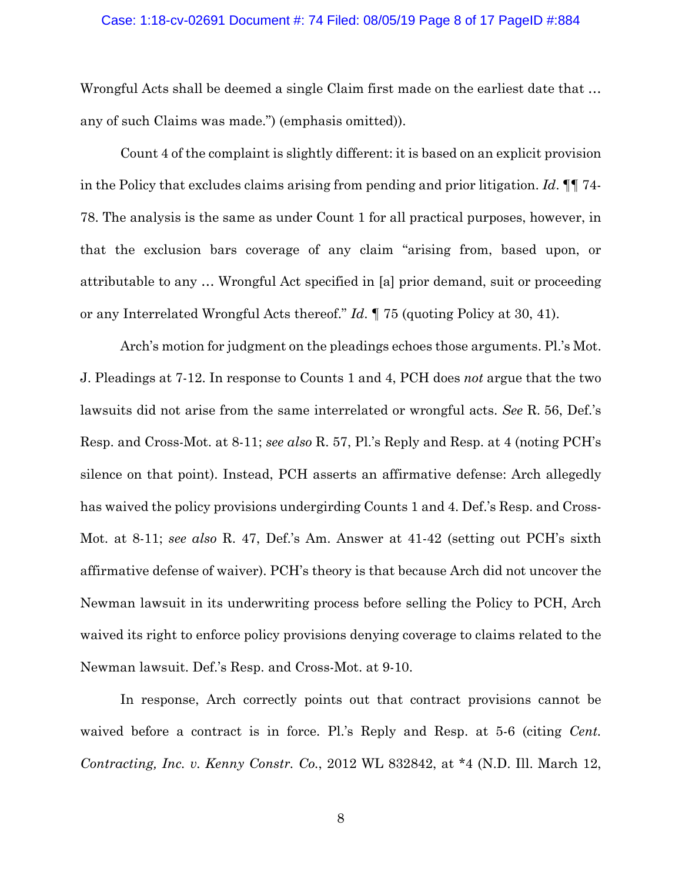#### Case: 1:18-cv-02691 Document #: 74 Filed: 08/05/19 Page 8 of 17 PageID #:884

Wrongful Acts shall be deemed a single Claim first made on the earliest date that … any of such Claims was made.") (emphasis omitted)).

Count 4 of the complaint is slightly different: it is based on an explicit provision in the Policy that excludes claims arising from pending and prior litigation. *Id*. ¶¶ 74- 78. The analysis is the same as under Count 1 for all practical purposes, however, in that the exclusion bars coverage of any claim "arising from, based upon, or attributable to any … Wrongful Act specified in [a] prior demand, suit or proceeding or any Interrelated Wrongful Acts thereof." *Id*. ¶ 75 (quoting Policy at 30, 41).

 Arch's motion for judgment on the pleadings echoes those arguments. Pl.'s Mot. J. Pleadings at 7-12. In response to Counts 1 and 4, PCH does *not* argue that the two lawsuits did not arise from the same interrelated or wrongful acts. *See* R. 56, Def.'s Resp. and Cross-Mot. at 8-11; *see also* R. 57, Pl.'s Reply and Resp. at 4 (noting PCH's silence on that point). Instead, PCH asserts an affirmative defense: Arch allegedly has waived the policy provisions undergirding Counts 1 and 4. Def.'s Resp. and Cross-Mot. at 8-11; *see also* R. 47, Def.'s Am. Answer at 41-42 (setting out PCH's sixth affirmative defense of waiver). PCH's theory is that because Arch did not uncover the Newman lawsuit in its underwriting process before selling the Policy to PCH, Arch waived its right to enforce policy provisions denying coverage to claims related to the Newman lawsuit. Def.'s Resp. and Cross-Mot. at 9-10.

In response, Arch correctly points out that contract provisions cannot be waived before a contract is in force. Pl.'s Reply and Resp. at 5-6 (citing *Cent*. *Contracting, Inc. v. Kenny Constr. Co.*, 2012 WL 832842, at \*4 (N.D. Ill. March 12,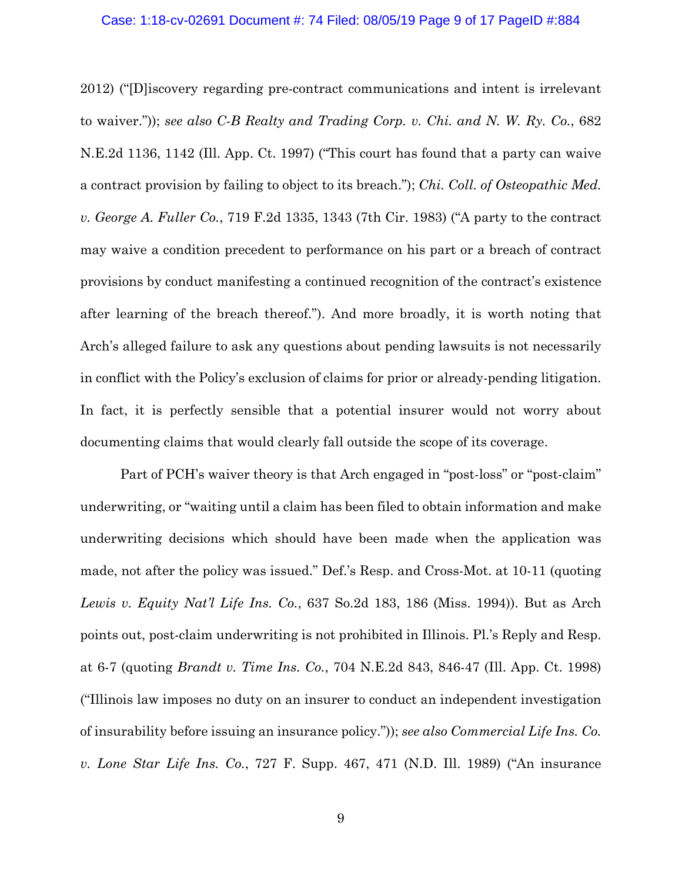#### Case: 1:18-cv-02691 Document #: 74 Filed: 08/05/19 Page 9 of 17 PageID #:884

2012) ("[D]iscovery regarding pre-contract communications and intent is irrelevant to waiver.")); *see also C-B Realty and Trading Corp. v. Chi. and N. W. Ry. Co.*, 682 N.E.2d 1136, 1142 (Ill. App. Ct. 1997) ("This court has found that a party can waive a contract provision by failing to object to its breach."); *Chi. Coll. of Osteopathic Med. v. George A. Fuller Co.*, 719 F.2d 1335, 1343 (7th Cir. 1983) ("A party to the contract may waive a condition precedent to performance on his part or a breach of contract provisions by conduct manifesting a continued recognition of the contract's existence after learning of the breach thereof."). And more broadly, it is worth noting that Arch's alleged failure to ask any questions about pending lawsuits is not necessarily in conflict with the Policy's exclusion of claims for prior or already-pending litigation. In fact, it is perfectly sensible that a potential insurer would not worry about documenting claims that would clearly fall outside the scope of its coverage.

Part of PCH's waiver theory is that Arch engaged in "post-loss" or "post-claim" underwriting, or "waiting until a claim has been filed to obtain information and make underwriting decisions which should have been made when the application was made, not after the policy was issued." Def.'s Resp. and Cross-Mot. at 10-11 (quoting *Lewis v. Equity Nat'l Life Ins. Co.*, 637 So.2d 183, 186 (Miss. 1994)). But as Arch points out, post-claim underwriting is not prohibited in Illinois. Pl.'s Reply and Resp. at 6-7 (quoting *Brandt v. Time Ins. Co.*, 704 N.E.2d 843, 846-47 (Ill. App. Ct. 1998) ("Illinois law imposes no duty on an insurer to conduct an independent investigation of insurability before issuing an insurance policy.")); *see also Commercial Life Ins. Co. v. Lone Star Life Ins. Co.*, 727 F. Supp. 467, 471 (N.D. Ill. 1989) ("An insurance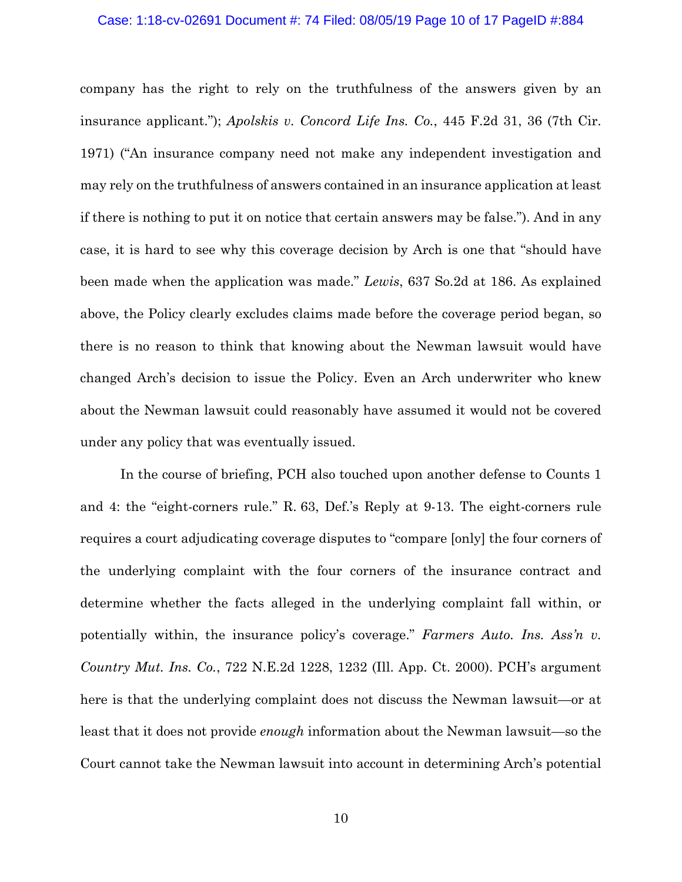#### Case: 1:18-cv-02691 Document #: 74 Filed: 08/05/19 Page 10 of 17 PageID #:884

company has the right to rely on the truthfulness of the answers given by an insurance applicant."); *Apolskis v. Concord Life Ins. Co.*, 445 F.2d 31, 36 (7th Cir. 1971) ("An insurance company need not make any independent investigation and may rely on the truthfulness of answers contained in an insurance application at least if there is nothing to put it on notice that certain answers may be false."). And in any case, it is hard to see why this coverage decision by Arch is one that "should have been made when the application was made." *Lewis*, 637 So.2d at 186. As explained above, the Policy clearly excludes claims made before the coverage period began, so there is no reason to think that knowing about the Newman lawsuit would have changed Arch's decision to issue the Policy. Even an Arch underwriter who knew about the Newman lawsuit could reasonably have assumed it would not be covered under any policy that was eventually issued.

 In the course of briefing, PCH also touched upon another defense to Counts 1 and 4: the "eight-corners rule." R. 63, Def.'s Reply at 9-13. The eight-corners rule requires a court adjudicating coverage disputes to "compare [only] the four corners of the underlying complaint with the four corners of the insurance contract and determine whether the facts alleged in the underlying complaint fall within, or potentially within, the insurance policy's coverage." *Farmers Auto. Ins. Ass'n v. Country Mut. Ins. Co.*, 722 N.E.2d 1228, 1232 (Ill. App. Ct. 2000). PCH's argument here is that the underlying complaint does not discuss the Newman lawsuit—or at least that it does not provide *enough* information about the Newman lawsuit—so the Court cannot take the Newman lawsuit into account in determining Arch's potential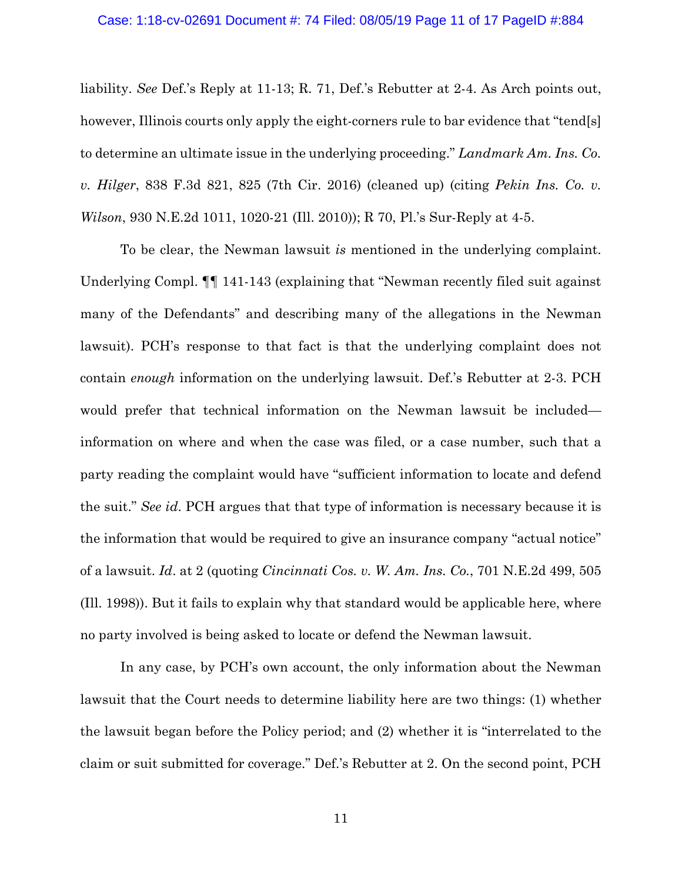#### Case: 1:18-cv-02691 Document #: 74 Filed: 08/05/19 Page 11 of 17 PageID #:884

liability. *See* Def.'s Reply at 11-13; R. 71, Def.'s Rebutter at 2-4. As Arch points out, however, Illinois courts only apply the eight-corners rule to bar evidence that "tend[s] to determine an ultimate issue in the underlying proceeding." *Landmark Am. Ins. Co. v. Hilger*, 838 F.3d 821, 825 (7th Cir. 2016) (cleaned up) (citing *Pekin Ins. Co. v. Wilson*, 930 N.E.2d 1011, 1020-21 (Ill. 2010)); R 70, Pl.'s Sur-Reply at 4-5.

To be clear, the Newman lawsuit *is* mentioned in the underlying complaint. Underlying Compl. ¶¶ 141-143 (explaining that "Newman recently filed suit against many of the Defendants" and describing many of the allegations in the Newman lawsuit). PCH's response to that fact is that the underlying complaint does not contain *enough* information on the underlying lawsuit. Def.'s Rebutter at 2-3. PCH would prefer that technical information on the Newman lawsuit be included information on where and when the case was filed, or a case number, such that a party reading the complaint would have "sufficient information to locate and defend the suit." *See id*. PCH argues that that type of information is necessary because it is the information that would be required to give an insurance company "actual notice" of a lawsuit. *Id*. at 2 (quoting *Cincinnati Cos. v. W. Am. Ins. Co.*, 701 N.E.2d 499, 505 (Ill. 1998)). But it fails to explain why that standard would be applicable here, where no party involved is being asked to locate or defend the Newman lawsuit.

In any case, by PCH's own account, the only information about the Newman lawsuit that the Court needs to determine liability here are two things: (1) whether the lawsuit began before the Policy period; and (2) whether it is "interrelated to the claim or suit submitted for coverage." Def.'s Rebutter at 2. On the second point, PCH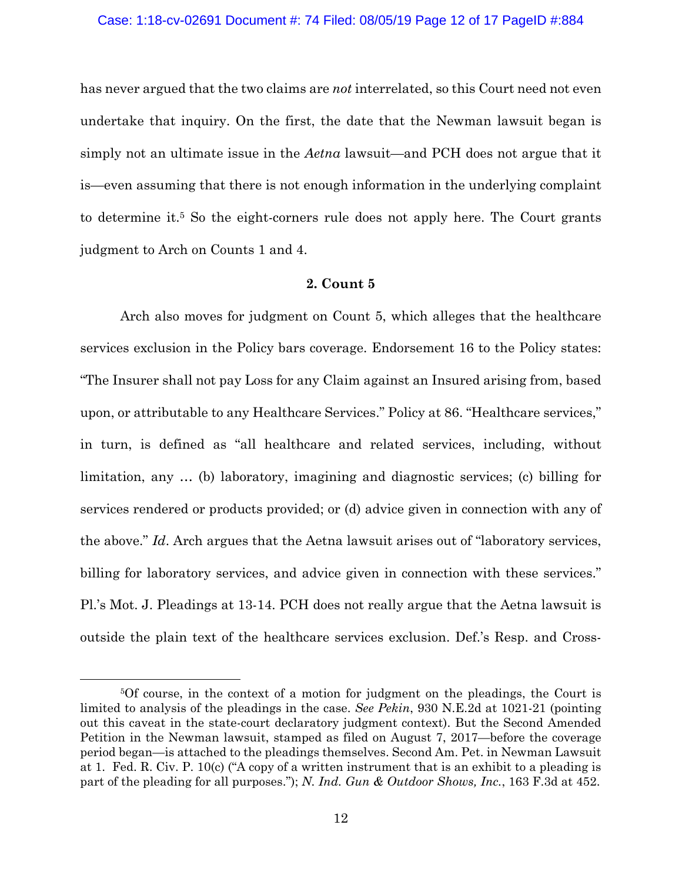#### Case: 1:18-cv-02691 Document #: 74 Filed: 08/05/19 Page 12 of 17 PageID #:884

has never argued that the two claims are *not* interrelated, so this Court need not even undertake that inquiry. On the first, the date that the Newman lawsuit began is simply not an ultimate issue in the *Aetna* lawsuit—and PCH does not argue that it is—even assuming that there is not enough information in the underlying complaint to determine it.<sup>5</sup> So the eight-corners rule does not apply here. The Court grants judgment to Arch on Counts 1 and 4.

### **2. Count 5**

 Arch also moves for judgment on Count 5, which alleges that the healthcare services exclusion in the Policy bars coverage. Endorsement 16 to the Policy states: "The Insurer shall not pay Loss for any Claim against an Insured arising from, based upon, or attributable to any Healthcare Services." Policy at 86. "Healthcare services," in turn, is defined as "all healthcare and related services, including, without limitation, any … (b) laboratory, imagining and diagnostic services; (c) billing for services rendered or products provided; or (d) advice given in connection with any of the above." *Id*. Arch argues that the Aetna lawsuit arises out of "laboratory services, billing for laboratory services, and advice given in connection with these services." Pl.'s Mot. J. Pleadings at 13-14. PCH does not really argue that the Aetna lawsuit is outside the plain text of the healthcare services exclusion. Def.'s Resp. and Cross-

 <sup>5</sup>Of course, in the context of a motion for judgment on the pleadings, the Court is limited to analysis of the pleadings in the case. *See Pekin*, 930 N.E.2d at 1021-21 (pointing out this caveat in the state-court declaratory judgment context). But the Second Amended Petition in the Newman lawsuit, stamped as filed on August 7, 2017—before the coverage period began—is attached to the pleadings themselves. Second Am. Pet. in Newman Lawsuit at 1. Fed. R. Civ. P. 10(c) ("A copy of a written instrument that is an exhibit to a pleading is part of the pleading for all purposes."); *N. Ind. Gun & Outdoor Shows, Inc.*, 163 F.3d at 452.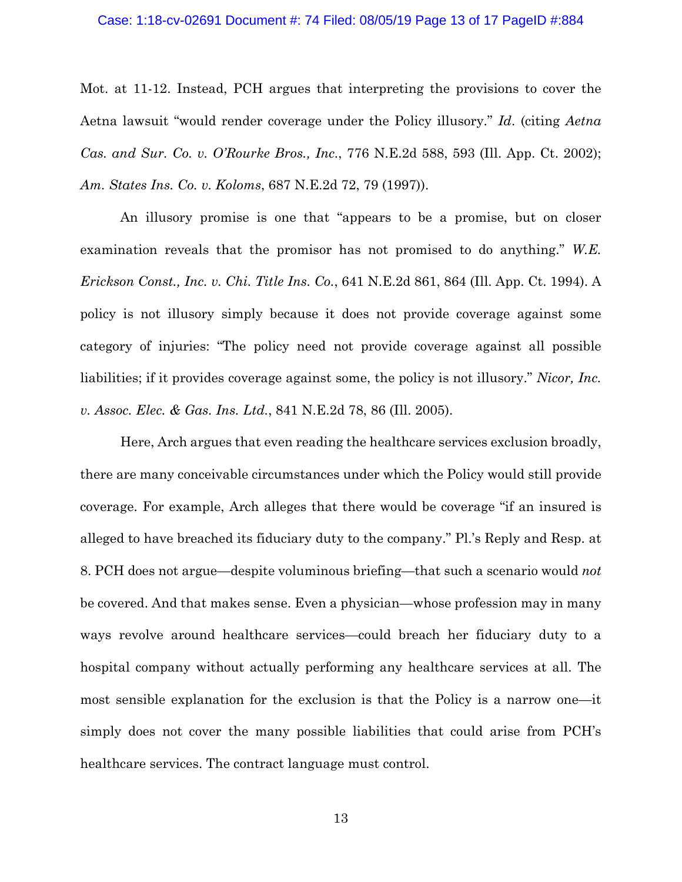#### Case: 1:18-cv-02691 Document #: 74 Filed: 08/05/19 Page 13 of 17 PageID #:884

Mot. at 11-12. Instead, PCH argues that interpreting the provisions to cover the Aetna lawsuit "would render coverage under the Policy illusory." *Id*. (citing *Aetna Cas. and Sur. Co. v. O'Rourke Bros., Inc.*, 776 N.E.2d 588, 593 (Ill. App. Ct. 2002); *Am. States Ins. Co. v. Koloms*, 687 N.E.2d 72, 79 (1997)).

 An illusory promise is one that "appears to be a promise, but on closer examination reveals that the promisor has not promised to do anything." *W.E. Erickson Const., Inc. v. Chi. Title Ins. Co.*, 641 N.E.2d 861, 864 (Ill. App. Ct. 1994). A policy is not illusory simply because it does not provide coverage against some category of injuries: "The policy need not provide coverage against all possible liabilities; if it provides coverage against some, the policy is not illusory." *Nicor, Inc. v. Assoc. Elec. & Gas. Ins. Ltd.*, 841 N.E.2d 78, 86 (Ill. 2005).

 Here, Arch argues that even reading the healthcare services exclusion broadly, there are many conceivable circumstances under which the Policy would still provide coverage. For example, Arch alleges that there would be coverage "if an insured is alleged to have breached its fiduciary duty to the company." Pl.'s Reply and Resp. at 8. PCH does not argue—despite voluminous briefing—that such a scenario would *not*  be covered. And that makes sense. Even a physician—whose profession may in many ways revolve around healthcare services—could breach her fiduciary duty to a hospital company without actually performing any healthcare services at all. The most sensible explanation for the exclusion is that the Policy is a narrow one—it simply does not cover the many possible liabilities that could arise from PCH's healthcare services. The contract language must control.

13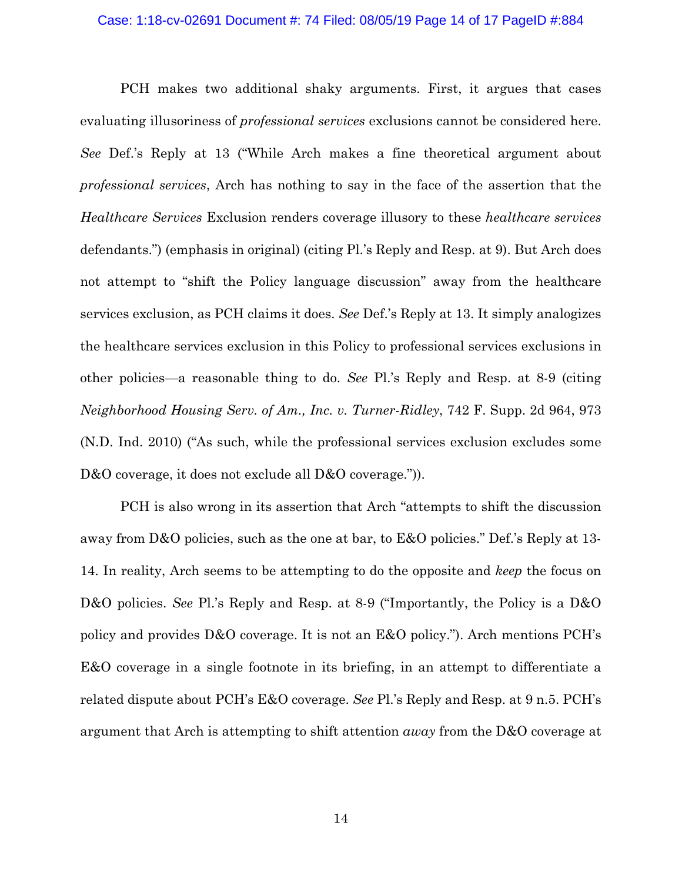#### Case: 1:18-cv-02691 Document #: 74 Filed: 08/05/19 Page 14 of 17 PageID #:884

 PCH makes two additional shaky arguments. First, it argues that cases evaluating illusoriness of *professional services* exclusions cannot be considered here. *See* Def.'s Reply at 13 ("While Arch makes a fine theoretical argument about *professional services*, Arch has nothing to say in the face of the assertion that the *Healthcare Services* Exclusion renders coverage illusory to these *healthcare services*  defendants.") (emphasis in original) (citing Pl.'s Reply and Resp. at 9). But Arch does not attempt to "shift the Policy language discussion" away from the healthcare services exclusion, as PCH claims it does. *See* Def.'s Reply at 13. It simply analogizes the healthcare services exclusion in this Policy to professional services exclusions in other policies—a reasonable thing to do. *See* Pl.'s Reply and Resp. at 8-9 (citing *Neighborhood Housing Serv. of Am., Inc. v. Turner-Ridley*, 742 F. Supp. 2d 964, 973 (N.D. Ind. 2010) ("As such, while the professional services exclusion excludes some D&O coverage, it does not exclude all D&O coverage.").

 PCH is also wrong in its assertion that Arch "attempts to shift the discussion away from D&O policies, such as the one at bar, to E&O policies." Def.'s Reply at 13- 14. In reality, Arch seems to be attempting to do the opposite and *keep* the focus on D&O policies. *See* Pl.'s Reply and Resp. at 8-9 ("Importantly, the Policy is a D&O policy and provides D&O coverage. It is not an E&O policy."). Arch mentions PCH's E&O coverage in a single footnote in its briefing, in an attempt to differentiate a related dispute about PCH's E&O coverage. *See* Pl.'s Reply and Resp. at 9 n.5. PCH's argument that Arch is attempting to shift attention *away* from the D&O coverage at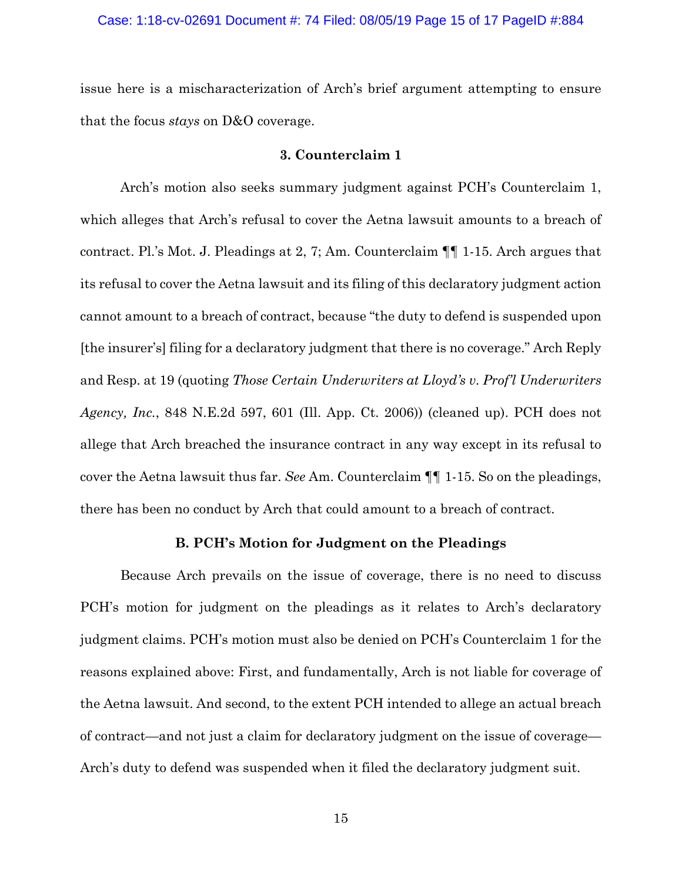#### Case: 1:18-cv-02691 Document #: 74 Filed: 08/05/19 Page 15 of 17 PageID #:884

issue here is a mischaracterization of Arch's brief argument attempting to ensure that the focus *stays* on D&O coverage.

### **3. Counterclaim 1**

 Arch's motion also seeks summary judgment against PCH's Counterclaim 1, which alleges that Arch's refusal to cover the Aetna lawsuit amounts to a breach of contract. Pl.'s Mot. J. Pleadings at 2, 7; Am. Counterclaim ¶¶ 1-15. Arch argues that its refusal to cover the Aetna lawsuit and its filing of this declaratory judgment action cannot amount to a breach of contract, because "the duty to defend is suspended upon [the insurer's] filing for a declaratory judgment that there is no coverage." Arch Reply and Resp. at 19 (quoting *Those Certain Underwriters at Lloyd's v. Prof'l Underwriters Agency, Inc.*, 848 N.E.2d 597, 601 (Ill. App. Ct. 2006)) (cleaned up). PCH does not allege that Arch breached the insurance contract in any way except in its refusal to cover the Aetna lawsuit thus far. *See* Am. Counterclaim ¶¶ 1-15. So on the pleadings, there has been no conduct by Arch that could amount to a breach of contract.

# **B. PCH's Motion for Judgment on the Pleadings**

Because Arch prevails on the issue of coverage, there is no need to discuss PCH's motion for judgment on the pleadings as it relates to Arch's declaratory judgment claims. PCH's motion must also be denied on PCH's Counterclaim 1 for the reasons explained above: First, and fundamentally, Arch is not liable for coverage of the Aetna lawsuit. And second, to the extent PCH intended to allege an actual breach of contract—and not just a claim for declaratory judgment on the issue of coverage— Arch's duty to defend was suspended when it filed the declaratory judgment suit.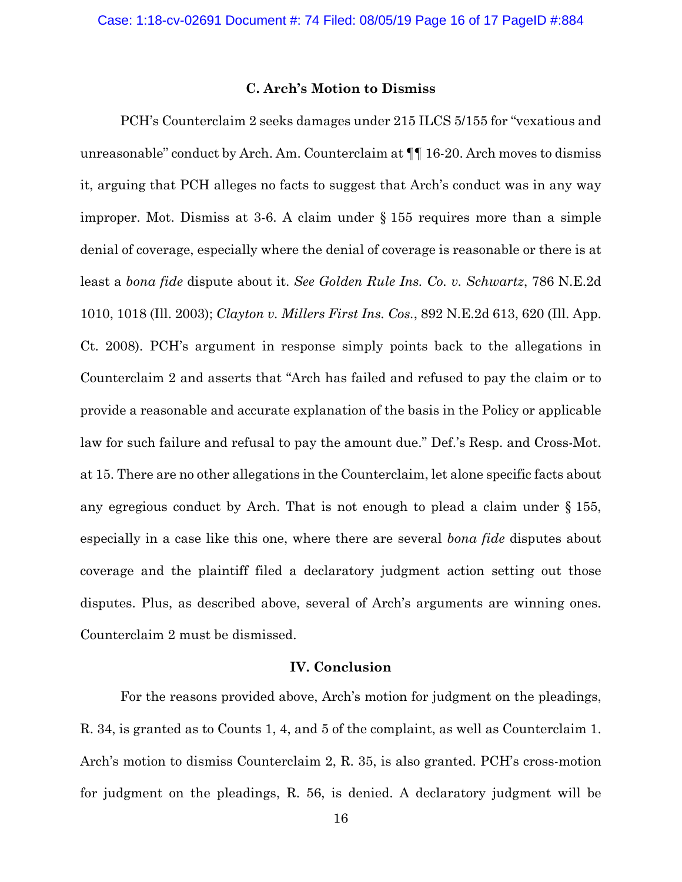### **C. Arch's Motion to Dismiss**

 PCH's Counterclaim 2 seeks damages under 215 ILCS 5/155 for "vexatious and unreasonable" conduct by Arch. Am. Counterclaim at ¶¶ 16-20. Arch moves to dismiss it, arguing that PCH alleges no facts to suggest that Arch's conduct was in any way improper. Mot. Dismiss at 3-6. A claim under § 155 requires more than a simple denial of coverage, especially where the denial of coverage is reasonable or there is at least a *bona fide* dispute about it. *See Golden Rule Ins. Co. v. Schwartz*, 786 N.E.2d 1010, 1018 (Ill. 2003); *Clayton v. Millers First Ins. Cos.*, 892 N.E.2d 613, 620 (Ill. App. Ct. 2008). PCH's argument in response simply points back to the allegations in Counterclaim 2 and asserts that "Arch has failed and refused to pay the claim or to provide a reasonable and accurate explanation of the basis in the Policy or applicable law for such failure and refusal to pay the amount due." Def.'s Resp. and Cross-Mot. at 15. There are no other allegations in the Counterclaim, let alone specific facts about any egregious conduct by Arch. That is not enough to plead a claim under § 155, especially in a case like this one, where there are several *bona fide* disputes about coverage and the plaintiff filed a declaratory judgment action setting out those disputes. Plus, as described above, several of Arch's arguments are winning ones. Counterclaim 2 must be dismissed.

# **IV. Conclusion**

 For the reasons provided above, Arch's motion for judgment on the pleadings, R. 34, is granted as to Counts 1, 4, and 5 of the complaint, as well as Counterclaim 1. Arch's motion to dismiss Counterclaim 2, R. 35, is also granted. PCH's cross-motion for judgment on the pleadings, R. 56, is denied. A declaratory judgment will be